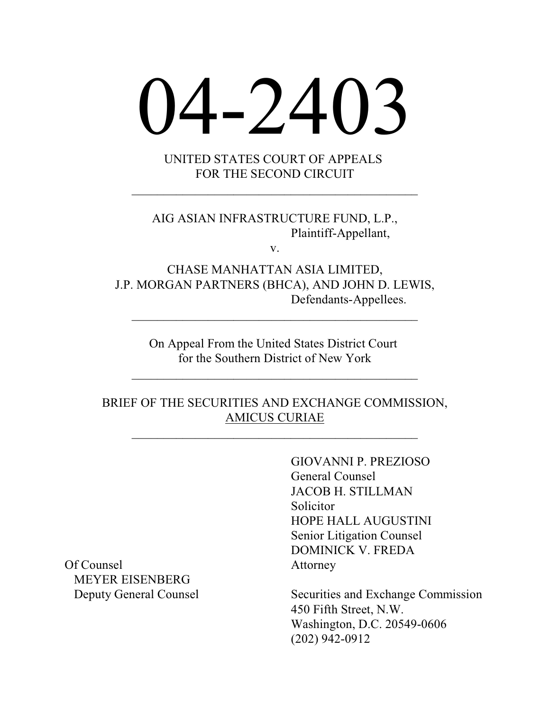# 04-2403

UNITED STATES COURT OF APPEALS FOR THE SECOND CIRCUIT

 $\mathcal{L}_\mathcal{L}$  , where  $\mathcal{L}_\mathcal{L}$  is the set of the set of the set of the set of the set of the set of the set of the set of the set of the set of the set of the set of the set of the set of the set of the set of the

AIG ASIAN INFRASTRUCTURE FUND, L.P., Plaintiff-Appellant,

v.

CHASE MANHATTAN ASIA LIMITED, J.P. MORGAN PARTNERS (BHCA), AND JOHN D. LEWIS, Defendants-Appellees.

\_\_\_\_\_\_\_\_\_\_\_\_\_\_\_\_\_\_\_\_\_\_\_\_\_\_\_\_\_\_\_\_\_\_\_\_\_\_\_\_\_\_\_\_\_

On Appeal From the United States District Court for the Southern District of New York

 $\mathcal{L}_\mathcal{L}$  , where  $\mathcal{L}_\mathcal{L}$  is the set of the set of the set of the set of the set of the set of the set of the set of the set of the set of the set of the set of the set of the set of the set of the set of the

BRIEF OF THE SECURITIES AND EXCHANGE COMMISSION, AMICUS CURIAE

 $\mathcal{L}_\mathcal{L}$  , where  $\mathcal{L}_\mathcal{L}$  is the set of the set of the set of the set of the set of the set of the set of the set of the set of the set of the set of the set of the set of the set of the set of the set of the

GIOVANNI P. PREZIOSO General Counsel JACOB H. STILLMAN **Solicitor** HOPE HALL AUGUSTINI Senior Litigation Counsel DOMINICK V. FREDA

Deputy General Counsel Securities and Exchange Commission 450 Fifth Street, N.W. Washington, D.C. 20549-0606 (202) 942-0912

Of Counsel **Attorney** MEYER EISENBERG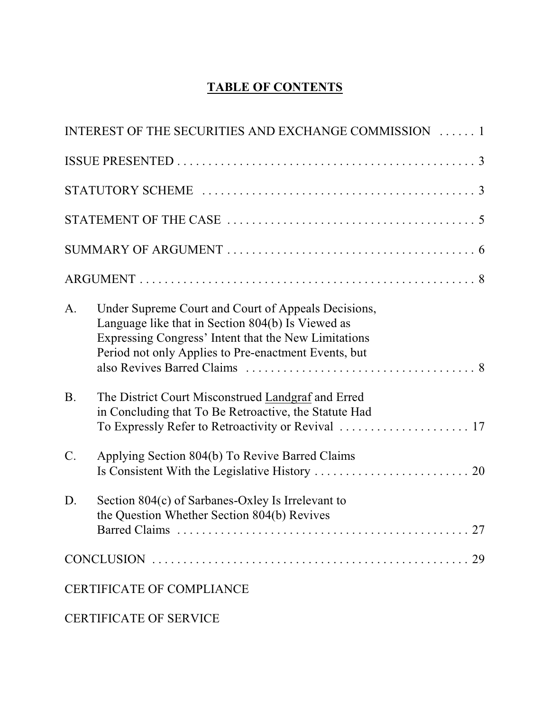## **TABLE OF CONTENTS**

|                 | INTEREST OF THE SECURITIES AND EXCHANGE COMMISSION  1                                                                                                                                                                    |  |
|-----------------|--------------------------------------------------------------------------------------------------------------------------------------------------------------------------------------------------------------------------|--|
|                 |                                                                                                                                                                                                                          |  |
|                 |                                                                                                                                                                                                                          |  |
|                 |                                                                                                                                                                                                                          |  |
|                 |                                                                                                                                                                                                                          |  |
|                 |                                                                                                                                                                                                                          |  |
| A.              | Under Supreme Court and Court of Appeals Decisions,<br>Language like that in Section 804(b) Is Viewed as<br>Expressing Congress' Intent that the New Limitations<br>Period not only Applies to Pre-enactment Events, but |  |
| <b>B.</b>       | The District Court Misconstrued Landgraf and Erred<br>in Concluding that To Be Retroactive, the Statute Had                                                                                                              |  |
| $\mathcal{C}$ . | Applying Section 804(b) To Revive Barred Claims                                                                                                                                                                          |  |
| D.              | Section 804(c) of Sarbanes-Oxley Is Irrelevant to<br>the Question Whether Section 804(b) Revives                                                                                                                         |  |
|                 |                                                                                                                                                                                                                          |  |
|                 | <b>CERTIFICATE OF COMPLIANCE</b>                                                                                                                                                                                         |  |
|                 |                                                                                                                                                                                                                          |  |

CERTIFICATE OF SERVICE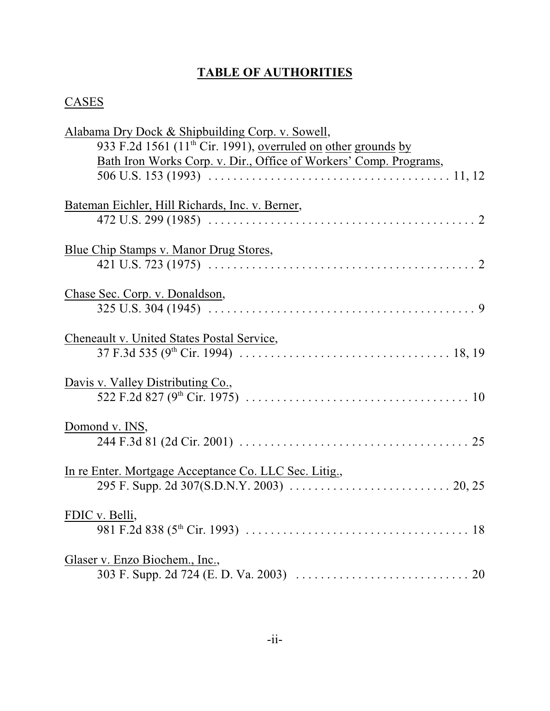# **TABLE OF AUTHORITIES**

# **CASES**

| Alabama Dry Dock & Shipbuilding Corp. v. Sowell,                          |
|---------------------------------------------------------------------------|
| 933 F.2d 1561 (11 <sup>th</sup> Cir. 1991), overruled on other grounds by |
| Bath Iron Works Corp. v. Dir., Office of Workers' Comp. Programs,         |
|                                                                           |
|                                                                           |
| Bateman Eichler, Hill Richards, Inc. v. Berner,                           |
|                                                                           |
| Blue Chip Stamps v. Manor Drug Stores,                                    |
|                                                                           |
|                                                                           |
| Chase Sec. Corp. v. Donaldson,                                            |
|                                                                           |
|                                                                           |
| Cheneault v. United States Postal Service,                                |
|                                                                           |
| Davis v. Valley Distributing Co.,                                         |
|                                                                           |
|                                                                           |
| Domond v. INS,                                                            |
|                                                                           |
| In re Enter. Mortgage Acceptance Co. LLC Sec. Litig.,                     |
|                                                                           |
|                                                                           |
| FDIC v. Belli,                                                            |
|                                                                           |
| Glaser v. Enzo Biochem., Inc.,                                            |
|                                                                           |
|                                                                           |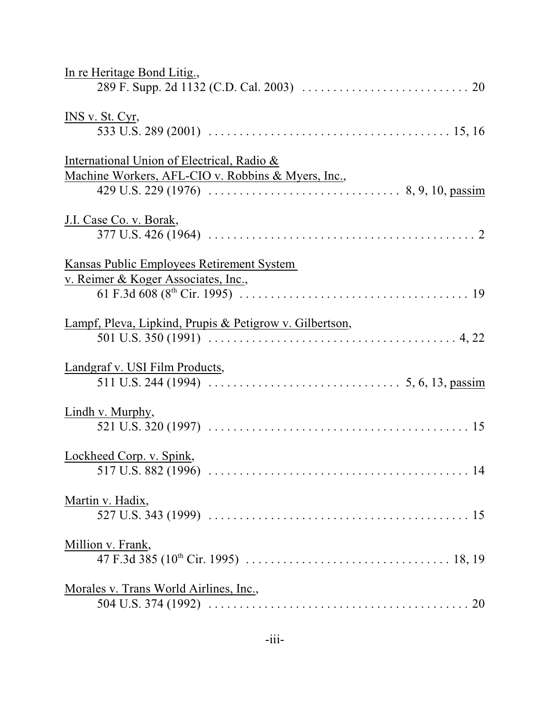| In re Heritage Bond Litig.,                                                                      |
|--------------------------------------------------------------------------------------------------|
|                                                                                                  |
| INS v. St. Cyr,                                                                                  |
| International Union of Electrical, Radio &<br>Machine Workers, AFL-CIO v. Robbins & Myers, Inc., |
| J.I. Case Co. v. Borak,                                                                          |
| Kansas Public Employees Retirement System<br>v. Reimer & Koger Associates, Inc.,                 |
| Lampf, Pleva, Lipkind, Prupis & Petigrow v. Gilbertson,                                          |
| Landgraf v. USI Film Products,                                                                   |
| Lindh v. Murphy,                                                                                 |
| Lockheed Corp. v. Spink,                                                                         |
| Martin v. Hadix,                                                                                 |
| Million v. Frank,                                                                                |
| Morales v. Trans World Airlines, Inc.,                                                           |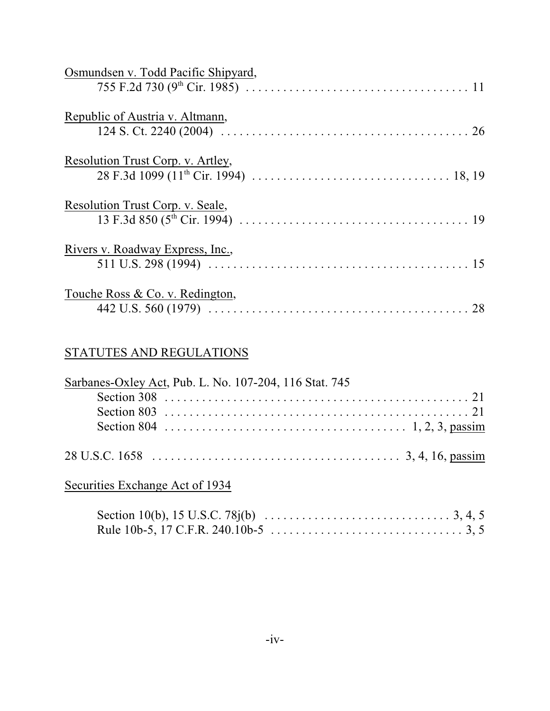| Osmundsen v. Todd Pacific Shipyard, |
|-------------------------------------|
| Republic of Austria v. Altmann,     |
| Resolution Trust Corp. v. Artley,   |
| Resolution Trust Corp. v. Seale,    |
| Rivers v. Roadway Express, Inc.,    |
| Touche Ross & Co. v. Redington,     |

# STATUTES AND REGULATIONS

| Sarbanes-Oxley Act, Pub. L. No. 107-204, 116 Stat. 745 |  |
|--------------------------------------------------------|--|
|                                                        |  |
|                                                        |  |
|                                                        |  |
|                                                        |  |

Securities Exchange Act of 1934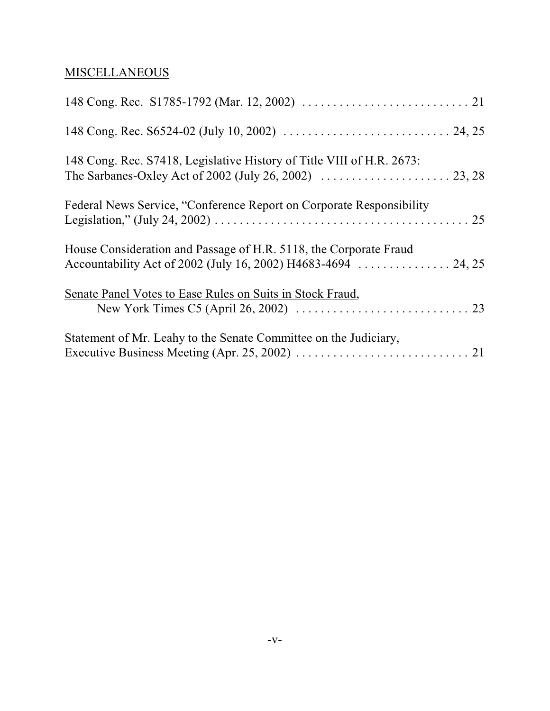# **MISCELLANEOUS**

| 148 Cong. Rec. S7418, Legislative History of Title VIII of H.R. 2673: |
|-----------------------------------------------------------------------|
| Federal News Service, "Conference Report on Corporate Responsibility  |
| House Consideration and Passage of H.R. 5118, the Corporate Fraud     |
| Senate Panel Votes to Ease Rules on Suits in Stock Fraud,             |
| Statement of Mr. Leahy to the Senate Committee on the Judiciary,      |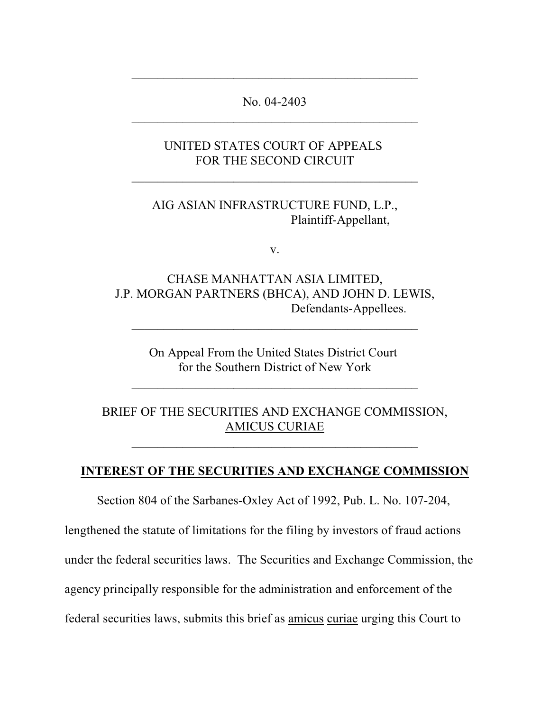## No. 04-2403 \_\_\_\_\_\_\_\_\_\_\_\_\_\_\_\_\_\_\_\_\_\_\_\_\_\_\_\_\_\_\_\_\_\_\_\_\_\_\_\_\_\_\_\_\_

 $\mathcal{L}_\mathcal{L}$  , where  $\mathcal{L}_\mathcal{L}$  is the set of the set of the set of the set of the set of the set of the set of the set of the set of the set of the set of the set of the set of the set of the set of the set of the

## UNITED STATES COURT OF APPEALS FOR THE SECOND CIRCUIT

 $\mathcal{L}_\mathcal{L}$  , where  $\mathcal{L}_\mathcal{L}$  is the set of the set of the set of the set of the set of the set of the set of the set of the set of the set of the set of the set of the set of the set of the set of the set of the

### AIG ASIAN INFRASTRUCTURE FUND, L.P., Plaintiff-Appellant,

v.

## CHASE MANHATTAN ASIA LIMITED, J.P. MORGAN PARTNERS (BHCA), AND JOHN D. LEWIS, Defendants-Appellees.

\_\_\_\_\_\_\_\_\_\_\_\_\_\_\_\_\_\_\_\_\_\_\_\_\_\_\_\_\_\_\_\_\_\_\_\_\_\_\_\_\_\_\_\_\_

On Appeal From the United States District Court for the Southern District of New York

 $\mathcal{L}_\mathcal{L}$  , where  $\mathcal{L}_\mathcal{L}$  is the set of the set of the set of the set of the set of the set of the set of the set of the set of the set of the set of the set of the set of the set of the set of the set of the

## BRIEF OF THE SECURITIES AND EXCHANGE COMMISSION, AMICUS CURIAE

 $\mathcal{L}_\mathcal{L}$  , where  $\mathcal{L}_\mathcal{L}$  is the set of the set of the set of the set of the set of the set of the set of the set of the set of the set of the set of the set of the set of the set of the set of the set of the

## **INTEREST OF THE SECURITIES AND EXCHANGE COMMISSION**

Section 804 of the Sarbanes-Oxley Act of 1992, Pub. L. No. 107-204,

lengthened the statute of limitations for the filing by investors of fraud actions under the federal securities laws. The Securities and Exchange Commission, the agency principally responsible for the administration and enforcement of the federal securities laws, submits this brief as amicus curiae urging this Court to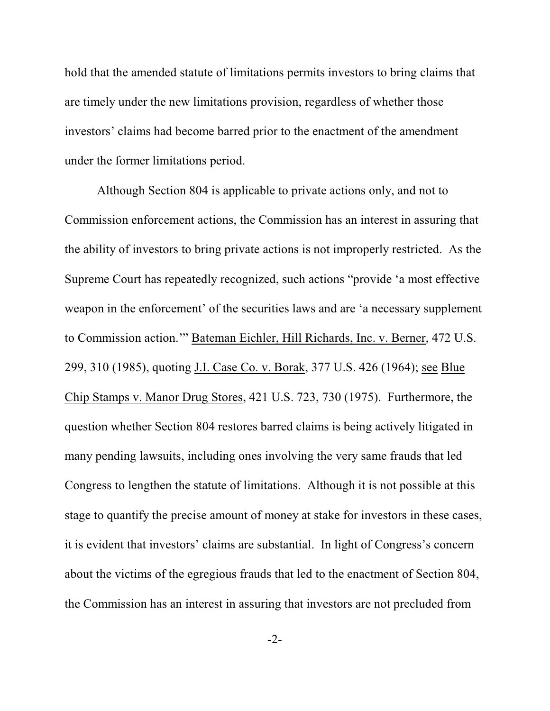hold that the amended statute of limitations permits investors to bring claims that are timely under the new limitations provision, regardless of whether those investors' claims had become barred prior to the enactment of the amendment under the former limitations period.

Although Section 804 is applicable to private actions only, and not to Commission enforcement actions, the Commission has an interest in assuring that the ability of investors to bring private actions is not improperly restricted. As the Supreme Court has repeatedly recognized, such actions "provide 'a most effective weapon in the enforcement' of the securities laws and are 'a necessary supplement to Commission action.'" Bateman Eichler, Hill Richards, Inc. v. Berner, 472 U.S. 299, 310 (1985), quoting J.I. Case Co. v. Borak, 377 U.S. 426 (1964); see Blue Chip Stamps v. Manor Drug Stores, 421 U.S. 723, 730 (1975). Furthermore, the question whether Section 804 restores barred claims is being actively litigated in many pending lawsuits, including ones involving the very same frauds that led Congress to lengthen the statute of limitations. Although it is not possible at this stage to quantify the precise amount of money at stake for investors in these cases, it is evident that investors' claims are substantial. In light of Congress's concern about the victims of the egregious frauds that led to the enactment of Section 804, the Commission has an interest in assuring that investors are not precluded from

-2-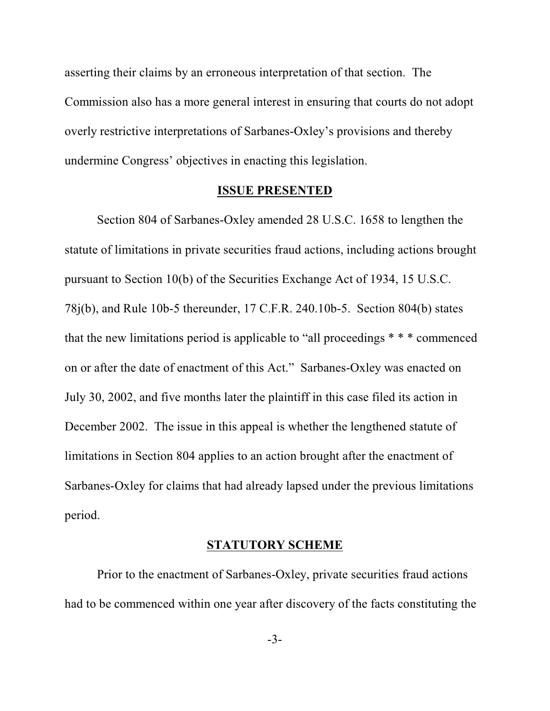asserting their claims by an erroneous interpretation of that section. The Commission also has a more general interest in ensuring that courts do not adopt overly restrictive interpretations of Sarbanes-Oxley's provisions and thereby undermine Congress' objectives in enacting this legislation.

#### **ISSUE PRESENTED**

Section 804 of Sarbanes-Oxley amended 28 U.S.C. 1658 to lengthen the statute of limitations in private securities fraud actions, including actions brought pursuant to Section 10(b) of the Securities Exchange Act of 1934, 15 U.S.C. 78j(b), and Rule 10b-5 thereunder, 17 C.F.R. 240.10b-5. Section 804(b) states that the new limitations period is applicable to "all proceedings \* \* \* commenced on or after the date of enactment of this Act." Sarbanes-Oxley was enacted on July 30, 2002, and five months later the plaintiff in this case filed its action in December 2002. The issue in this appeal is whether the lengthened statute of limitations in Section 804 applies to an action brought after the enactment of Sarbanes-Oxley for claims that had already lapsed under the previous limitations period.

#### **STATUTORY SCHEME**

Prior to the enactment of Sarbanes-Oxley, private securities fraud actions had to be commenced within one year after discovery of the facts constituting the

-3-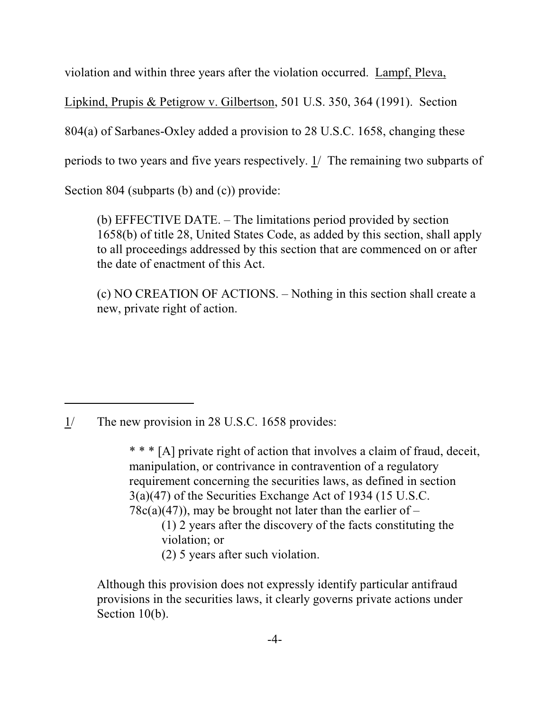violation and within three years after the violation occurred. Lampf, Pleva,

Lipkind, Prupis & Petigrow v. Gilbertson, 501 U.S. 350, 364 (1991). Section

804(a) of Sarbanes-Oxley added a provision to 28 U.S.C. 1658, changing these

periods to two years and five years respectively. 1/ The remaining two subparts of

Section 804 (subparts (b) and (c)) provide:

(b) EFFECTIVE DATE. – The limitations period provided by section 1658(b) of title 28, United States Code, as added by this section, shall apply to all proceedings addressed by this section that are commenced on or after the date of enactment of this Act.

(c) NO CREATION OF ACTIONS. – Nothing in this section shall create a new, private right of action.

1/ The new provision in 28 U.S.C. 1658 provides:

\* \* \* [A] private right of action that involves a claim of fraud, deceit, manipulation, or contrivance in contravention of a regulatory requirement concerning the securities laws, as defined in section 3(a)(47) of the Securities Exchange Act of 1934 (15 U.S.C.  $78c(a)(47)$ , may be brought not later than the earlier of – (1) 2 years after the discovery of the facts constituting the violation; or (2) 5 years after such violation.

Although this provision does not expressly identify particular antifraud provisions in the securities laws, it clearly governs private actions under Section 10(b).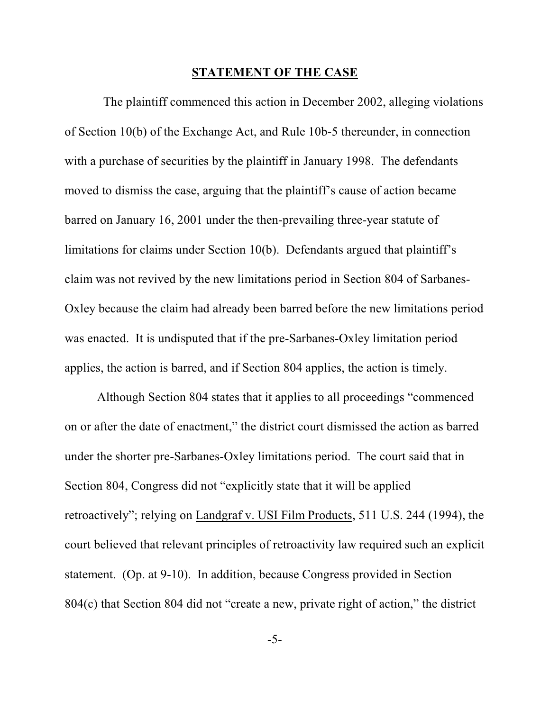#### **STATEMENT OF THE CASE**

 The plaintiff commenced this action in December 2002, alleging violations of Section 10(b) of the Exchange Act, and Rule 10b-5 thereunder, in connection with a purchase of securities by the plaintiff in January 1998. The defendants moved to dismiss the case, arguing that the plaintiff's cause of action became barred on January 16, 2001 under the then-prevailing three-year statute of limitations for claims under Section 10(b). Defendants argued that plaintiff's claim was not revived by the new limitations period in Section 804 of Sarbanes-Oxley because the claim had already been barred before the new limitations period was enacted. It is undisputed that if the pre-Sarbanes-Oxley limitation period applies, the action is barred, and if Section 804 applies, the action is timely.

Although Section 804 states that it applies to all proceedings "commenced on or after the date of enactment," the district court dismissed the action as barred under the shorter pre-Sarbanes-Oxley limitations period. The court said that in Section 804, Congress did not "explicitly state that it will be applied retroactively"; relying on Landgraf v. USI Film Products, 511 U.S. 244 (1994), the court believed that relevant principles of retroactivity law required such an explicit statement. (Op. at 9-10). In addition, because Congress provided in Section 804(c) that Section 804 did not "create a new, private right of action," the district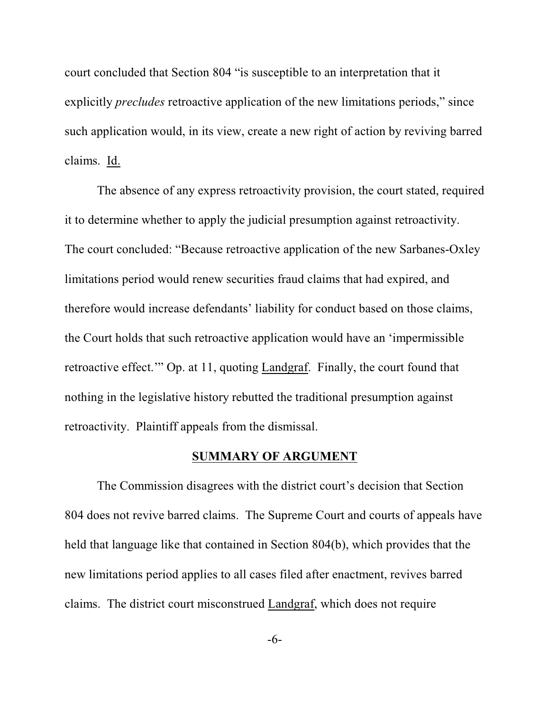court concluded that Section 804 "is susceptible to an interpretation that it explicitly *precludes* retroactive application of the new limitations periods," since such application would, in its view, create a new right of action by reviving barred claims. Id.

The absence of any express retroactivity provision, the court stated, required it to determine whether to apply the judicial presumption against retroactivity. The court concluded: "Because retroactive application of the new Sarbanes-Oxley limitations period would renew securities fraud claims that had expired, and therefore would increase defendants' liability for conduct based on those claims, the Court holds that such retroactive application would have an 'impermissible retroactive effect.'" Op. at 11, quoting Landgraf. Finally, the court found that nothing in the legislative history rebutted the traditional presumption against retroactivity. Plaintiff appeals from the dismissal.

#### **SUMMARY OF ARGUMENT**

The Commission disagrees with the district court's decision that Section 804 does not revive barred claims. The Supreme Court and courts of appeals have held that language like that contained in Section 804(b), which provides that the new limitations period applies to all cases filed after enactment, revives barred claims. The district court misconstrued Landgraf, which does not require

-6-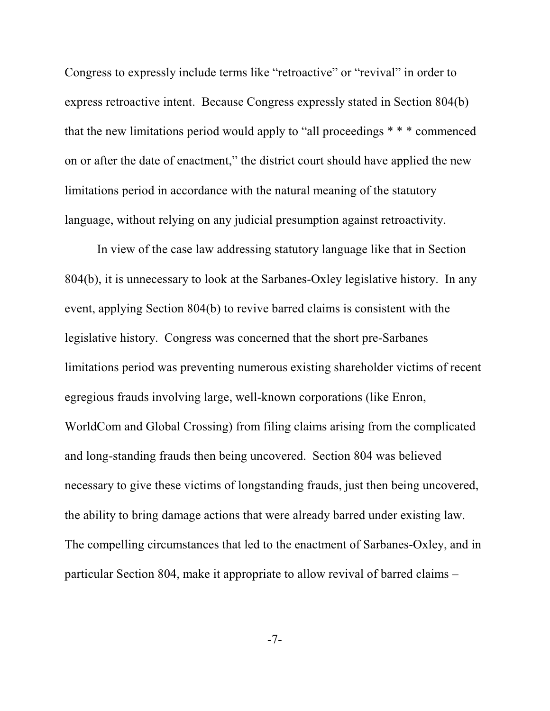Congress to expressly include terms like "retroactive" or "revival" in order to express retroactive intent. Because Congress expressly stated in Section 804(b) that the new limitations period would apply to "all proceedings \* \* \* commenced on or after the date of enactment," the district court should have applied the new limitations period in accordance with the natural meaning of the statutory language, without relying on any judicial presumption against retroactivity.

In view of the case law addressing statutory language like that in Section 804(b), it is unnecessary to look at the Sarbanes-Oxley legislative history. In any event, applying Section 804(b) to revive barred claims is consistent with the legislative history. Congress was concerned that the short pre-Sarbanes limitations period was preventing numerous existing shareholder victims of recent egregious frauds involving large, well-known corporations (like Enron, WorldCom and Global Crossing) from filing claims arising from the complicated and long-standing frauds then being uncovered. Section 804 was believed necessary to give these victims of longstanding frauds, just then being uncovered, the ability to bring damage actions that were already barred under existing law. The compelling circumstances that led to the enactment of Sarbanes-Oxley, and in particular Section 804, make it appropriate to allow revival of barred claims –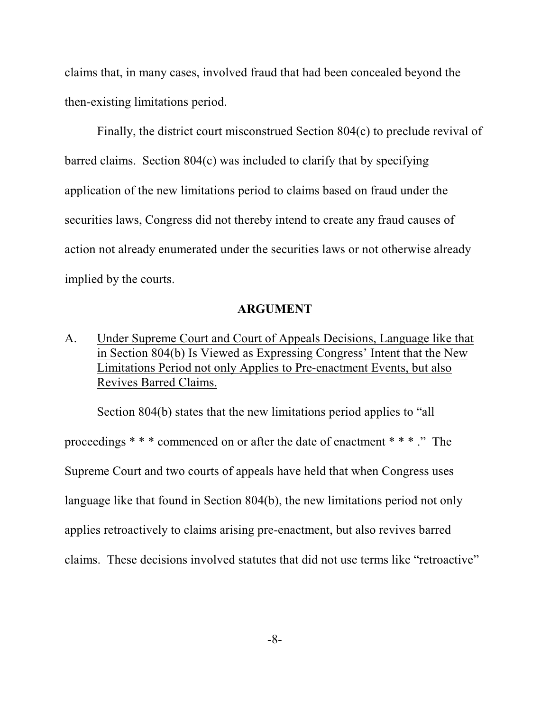claims that, in many cases, involved fraud that had been concealed beyond the then-existing limitations period.

Finally, the district court misconstrued Section 804(c) to preclude revival of barred claims. Section 804(c) was included to clarify that by specifying application of the new limitations period to claims based on fraud under the securities laws, Congress did not thereby intend to create any fraud causes of action not already enumerated under the securities laws or not otherwise already implied by the courts.

#### **ARGUMENT**

A. Under Supreme Court and Court of Appeals Decisions, Language like that in Section 804(b) Is Viewed as Expressing Congress' Intent that the New Limitations Period not only Applies to Pre-enactment Events, but also Revives Barred Claims.

Section 804(b) states that the new limitations period applies to "all proceedings \* \* \* commenced on or after the date of enactment \* \* \* ." The Supreme Court and two courts of appeals have held that when Congress uses language like that found in Section 804(b), the new limitations period not only applies retroactively to claims arising pre-enactment, but also revives barred claims. These decisions involved statutes that did not use terms like "retroactive"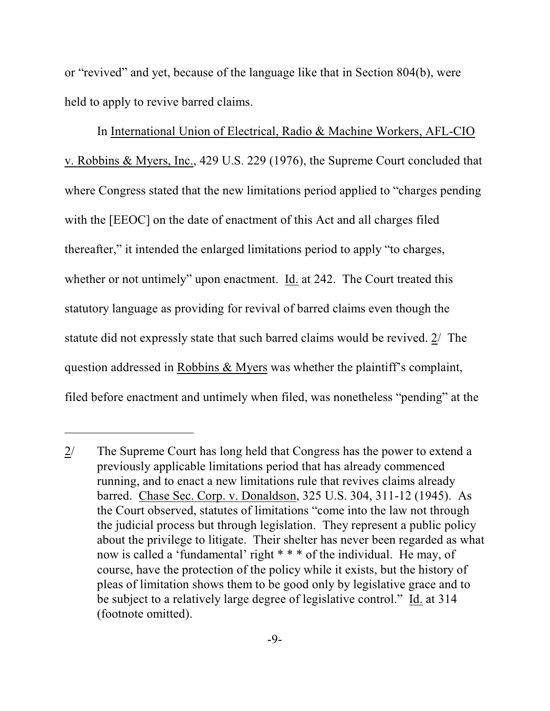or "revived" and yet, because of the language like that in Section 804(b), were held to apply to revive barred claims.

In International Union of Electrical, Radio & Machine Workers, AFL-CIO v. Robbins & Myers, Inc., 429 U.S. 229 (1976), the Supreme Court concluded that where Congress stated that the new limitations period applied to "charges pending with the [EEOC] on the date of enactment of this Act and all charges filed thereafter," it intended the enlarged limitations period to apply "to charges, whether or not untimely" upon enactment. Id. at 242. The Court treated this statutory language as providing for revival of barred claims even though the statute did not expressly state that such barred claims would be revived. 2/ The question addressed in Robbins & Myers was whether the plaintiff's complaint, filed before enactment and untimely when filed, was nonetheless "pending" at the

<sup>2/</sup> The Supreme Court has long held that Congress has the power to extend a previously applicable limitations period that has already commenced running, and to enact a new limitations rule that revives claims already barred. Chase Sec. Corp. v. Donaldson, 325 U.S. 304, 311-12 (1945). As the Court observed, statutes of limitations "come into the law not through the judicial process but through legislation. They represent a public policy about the privilege to litigate. Their shelter has never been regarded as what now is called a 'fundamental' right \* \* \* of the individual. He may, of course, have the protection of the policy while it exists, but the history of pleas of limitation shows them to be good only by legislative grace and to be subject to a relatively large degree of legislative control." Id. at 314 (footnote omitted).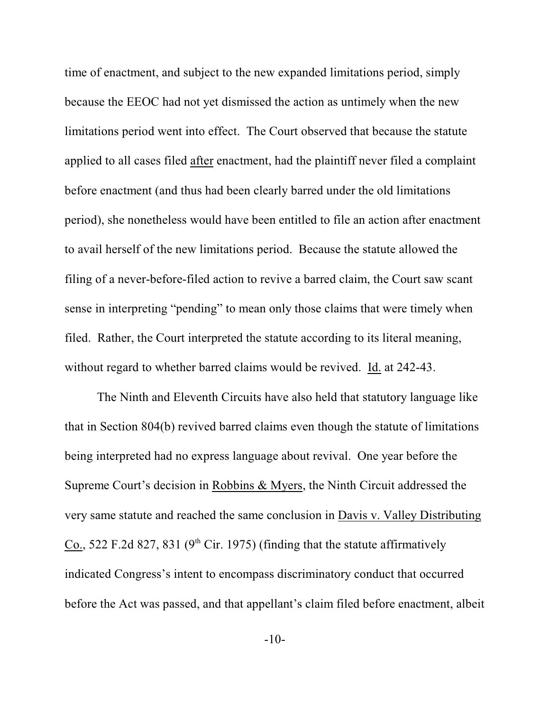time of enactment, and subject to the new expanded limitations period, simply because the EEOC had not yet dismissed the action as untimely when the new limitations period went into effect. The Court observed that because the statute applied to all cases filed after enactment, had the plaintiff never filed a complaint before enactment (and thus had been clearly barred under the old limitations period), she nonetheless would have been entitled to file an action after enactment to avail herself of the new limitations period. Because the statute allowed the filing of a never-before-filed action to revive a barred claim, the Court saw scant sense in interpreting "pending" to mean only those claims that were timely when filed. Rather, the Court interpreted the statute according to its literal meaning, without regard to whether barred claims would be revived. Id. at 242-43.

The Ninth and Eleventh Circuits have also held that statutory language like that in Section 804(b) revived barred claims even though the statute of limitations being interpreted had no express language about revival. One year before the Supreme Court's decision in Robbins & Myers, the Ninth Circuit addressed the very same statute and reached the same conclusion in Davis v. Valley Distributing Co., 522 F.2d 827, 831 (9<sup>th</sup> Cir. 1975) (finding that the statute affirmatively indicated Congress's intent to encompass discriminatory conduct that occurred before the Act was passed, and that appellant's claim filed before enactment, albeit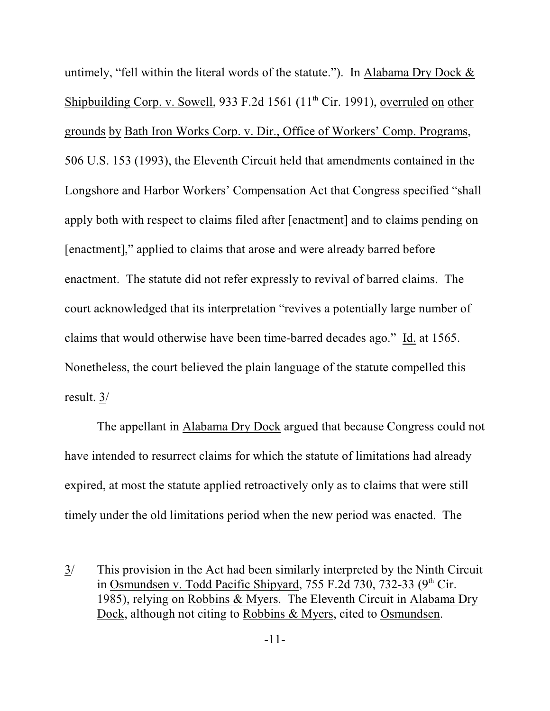untimely, "fell within the literal words of the statute."). In Alabama Dry Dock & Shipbuilding Corp. v. Sowell, 933 F.2d 1561 (11<sup>th</sup> Cir. 1991), overruled on other grounds by Bath Iron Works Corp. v. Dir., Office of Workers' Comp. Programs, 506 U.S. 153 (1993), the Eleventh Circuit held that amendments contained in the Longshore and Harbor Workers' Compensation Act that Congress specified "shall apply both with respect to claims filed after [enactment] and to claims pending on [enactment]," applied to claims that arose and were already barred before enactment. The statute did not refer expressly to revival of barred claims. The court acknowledged that its interpretation "revives a potentially large number of claims that would otherwise have been time-barred decades ago." Id. at 1565. Nonetheless, the court believed the plain language of the statute compelled this result. 3/

The appellant in Alabama Dry Dock argued that because Congress could not have intended to resurrect claims for which the statute of limitations had already expired, at most the statute applied retroactively only as to claims that were still timely under the old limitations period when the new period was enacted. The

<sup>3/</sup> This provision in the Act had been similarly interpreted by the Ninth Circuit in Osmundsen v. Todd Pacific Shipyard, 755 F.2d 730, 732-33 (9<sup>th</sup> Cir. 1985), relying on Robbins & Myers. The Eleventh Circuit in Alabama Dry Dock, although not citing to Robbins & Myers, cited to Osmundsen.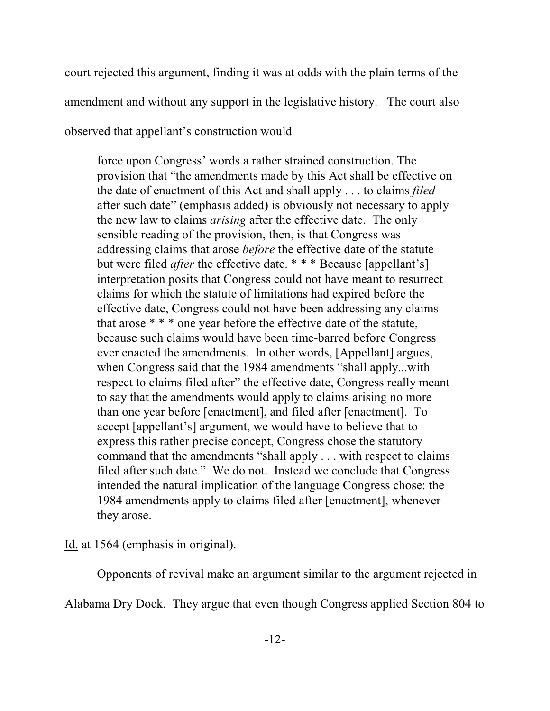court rejected this argument, finding it was at odds with the plain terms of the amendment and without any support in the legislative history. The court also

observed that appellant's construction would

force upon Congress' words a rather strained construction. The provision that "the amendments made by this Act shall be effective on the date of enactment of this Act and shall apply . . . to claims *filed* after such date" (emphasis added) is obviously not necessary to apply the new law to claims *arising* after the effective date. The only sensible reading of the provision, then, is that Congress was addressing claims that arose *before* the effective date of the statute but were filed *after* the effective date. \* \* \* Because [appellant's] interpretation posits that Congress could not have meant to resurrect claims for which the statute of limitations had expired before the effective date, Congress could not have been addressing any claims that arose \* \* \* one year before the effective date of the statute, because such claims would have been time-barred before Congress ever enacted the amendments. In other words, [Appellant] argues, when Congress said that the 1984 amendments "shall apply...with respect to claims filed after" the effective date, Congress really meant to say that the amendments would apply to claims arising no more than one year before [enactment], and filed after [enactment]. To accept [appellant's] argument, we would have to believe that to express this rather precise concept, Congress chose the statutory command that the amendments "shall apply . . . with respect to claims filed after such date." We do not. Instead we conclude that Congress intended the natural implication of the language Congress chose: the 1984 amendments apply to claims filed after [enactment], whenever they arose.

Id. at 1564 (emphasis in original).

Opponents of revival make an argument similar to the argument rejected in

Alabama Dry Dock. They argue that even though Congress applied Section 804 to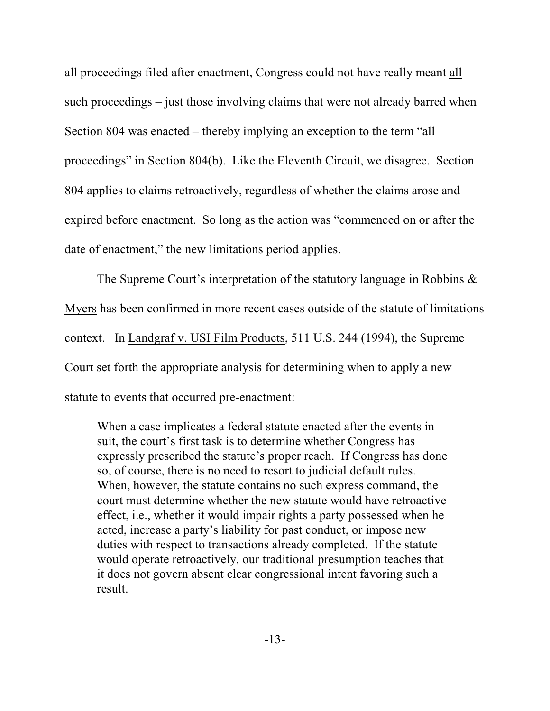all proceedings filed after enactment, Congress could not have really meant all such proceedings – just those involving claims that were not already barred when Section 804 was enacted – thereby implying an exception to the term "all proceedings" in Section 804(b). Like the Eleventh Circuit, we disagree. Section 804 applies to claims retroactively, regardless of whether the claims arose and expired before enactment. So long as the action was "commenced on or after the date of enactment," the new limitations period applies.

The Supreme Court's interpretation of the statutory language in Robbins & Myers has been confirmed in more recent cases outside of the statute of limitations context. In Landgraf v. USI Film Products, 511 U.S. 244 (1994), the Supreme Court set forth the appropriate analysis for determining when to apply a new statute to events that occurred pre-enactment:

When a case implicates a federal statute enacted after the events in suit, the court's first task is to determine whether Congress has expressly prescribed the statute's proper reach. If Congress has done so, of course, there is no need to resort to judicial default rules. When, however, the statute contains no such express command, the court must determine whether the new statute would have retroactive effect, i.e., whether it would impair rights a party possessed when he acted, increase a party's liability for past conduct, or impose new duties with respect to transactions already completed. If the statute would operate retroactively, our traditional presumption teaches that it does not govern absent clear congressional intent favoring such a result.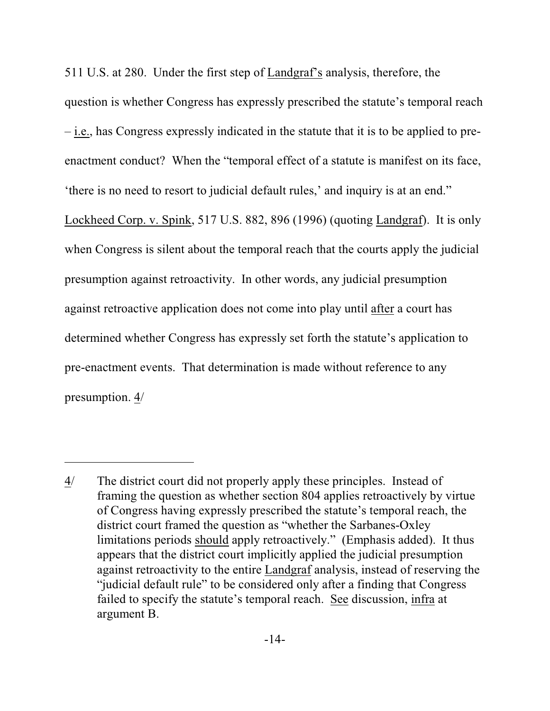511 U.S. at 280. Under the first step of Landgraf's analysis, therefore, the question is whether Congress has expressly prescribed the statute's temporal reach – i.e., has Congress expressly indicated in the statute that it is to be applied to preenactment conduct? When the "temporal effect of a statute is manifest on its face, 'there is no need to resort to judicial default rules,' and inquiry is at an end." Lockheed Corp. v. Spink, 517 U.S. 882, 896 (1996) (quoting Landgraf). It is only when Congress is silent about the temporal reach that the courts apply the judicial presumption against retroactivity. In other words, any judicial presumption against retroactive application does not come into play until after a court has determined whether Congress has expressly set forth the statute's application to pre-enactment events. That determination is made without reference to any

presumption. 4/

<sup>4/</sup> The district court did not properly apply these principles. Instead of framing the question as whether section 804 applies retroactively by virtue of Congress having expressly prescribed the statute's temporal reach, the district court framed the question as "whether the Sarbanes-Oxley limitations periods should apply retroactively." (Emphasis added). It thus appears that the district court implicitly applied the judicial presumption against retroactivity to the entire Landgraf analysis, instead of reserving the "judicial default rule" to be considered only after a finding that Congress failed to specify the statute's temporal reach. See discussion, infra at argument B.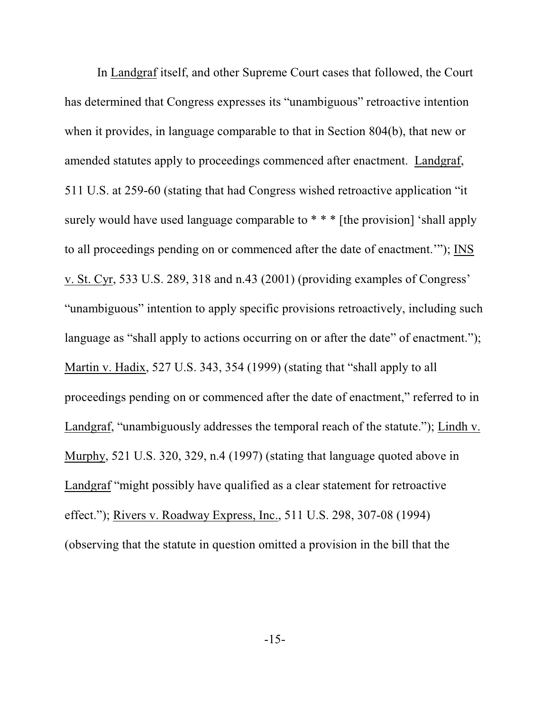In Landgraf itself, and other Supreme Court cases that followed, the Court has determined that Congress expresses its "unambiguous" retroactive intention when it provides, in language comparable to that in Section 804(b), that new or amended statutes apply to proceedings commenced after enactment. Landgraf, 511 U.S. at 259-60 (stating that had Congress wished retroactive application "it surely would have used language comparable to  $* * *$  [the provision] 'shall apply to all proceedings pending on or commenced after the date of enactment.'"); INS v. St. Cyr, 533 U.S. 289, 318 and n.43 (2001) (providing examples of Congress' "unambiguous" intention to apply specific provisions retroactively, including such language as "shall apply to actions occurring on or after the date" of enactment."); Martin v. Hadix, 527 U.S. 343, 354 (1999) (stating that "shall apply to all proceedings pending on or commenced after the date of enactment," referred to in Landgraf, "unambiguously addresses the temporal reach of the statute."); Lindh v. Murphy, 521 U.S. 320, 329, n.4 (1997) (stating that language quoted above in Landgraf "might possibly have qualified as a clear statement for retroactive effect."); Rivers v. Roadway Express, Inc., 511 U.S. 298, 307-08 (1994) (observing that the statute in question omitted a provision in the bill that the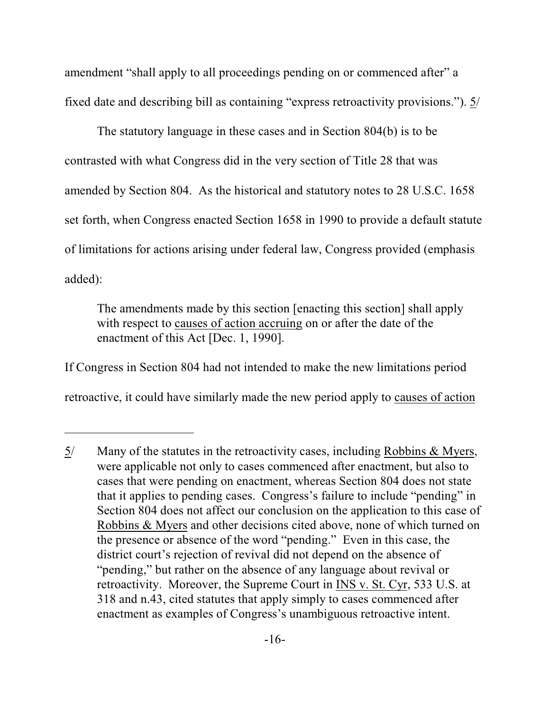amendment "shall apply to all proceedings pending on or commenced after" a fixed date and describing bill as containing "express retroactivity provisions."). 5/

The statutory language in these cases and in Section 804(b) is to be contrasted with what Congress did in the very section of Title 28 that was amended by Section 804. As the historical and statutory notes to 28 U.S.C. 1658 set forth, when Congress enacted Section 1658 in 1990 to provide a default statute of limitations for actions arising under federal law, Congress provided (emphasis added):

The amendments made by this section [enacting this section] shall apply with respect to causes of action accruing on or after the date of the enactment of this Act [Dec. 1, 1990].

If Congress in Section 804 had not intended to make the new limitations period retroactive, it could have similarly made the new period apply to causes of action

<sup>5/</sup> Many of the statutes in the retroactivity cases, including Robbins & Myers, were applicable not only to cases commenced after enactment, but also to cases that were pending on enactment, whereas Section 804 does not state that it applies to pending cases. Congress's failure to include "pending" in Section 804 does not affect our conclusion on the application to this case of Robbins & Myers and other decisions cited above, none of which turned on the presence or absence of the word "pending." Even in this case, the district court's rejection of revival did not depend on the absence of "pending," but rather on the absence of any language about revival or retroactivity. Moreover, the Supreme Court in INS v. St. Cyr, 533 U.S. at 318 and n.43, cited statutes that apply simply to cases commenced after enactment as examples of Congress's unambiguous retroactive intent.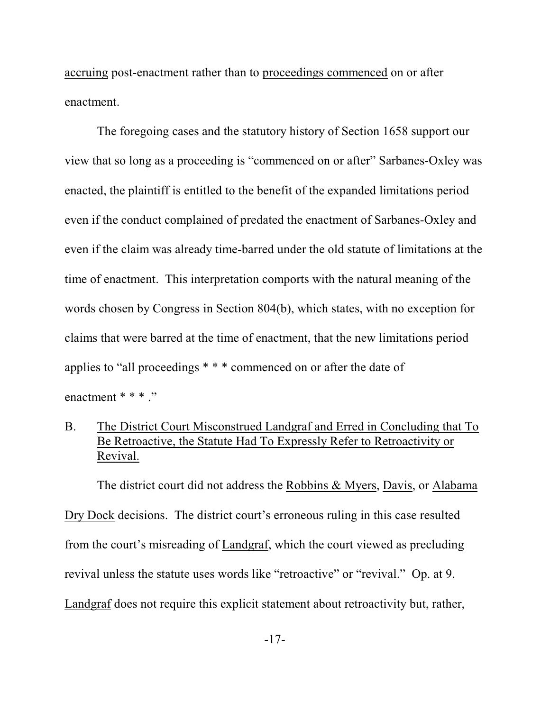accruing post-enactment rather than to proceedings commenced on or after enactment.

The foregoing cases and the statutory history of Section 1658 support our view that so long as a proceeding is "commenced on or after" Sarbanes-Oxley was enacted, the plaintiff is entitled to the benefit of the expanded limitations period even if the conduct complained of predated the enactment of Sarbanes-Oxley and even if the claim was already time-barred under the old statute of limitations at the time of enactment. This interpretation comports with the natural meaning of the words chosen by Congress in Section 804(b), which states, with no exception for claims that were barred at the time of enactment, that the new limitations period applies to "all proceedings \* \* \* commenced on or after the date of enactment \* \* \* ."

B. The District Court Misconstrued Landgraf and Erred in Concluding that To Be Retroactive, the Statute Had To Expressly Refer to Retroactivity or Revival.

The district court did not address the Robbins & Myers, Davis, or Alabama Dry Dock decisions. The district court's erroneous ruling in this case resulted from the court's misreading of Landgraf, which the court viewed as precluding revival unless the statute uses words like "retroactive" or "revival." Op. at 9. Landgraf does not require this explicit statement about retroactivity but, rather,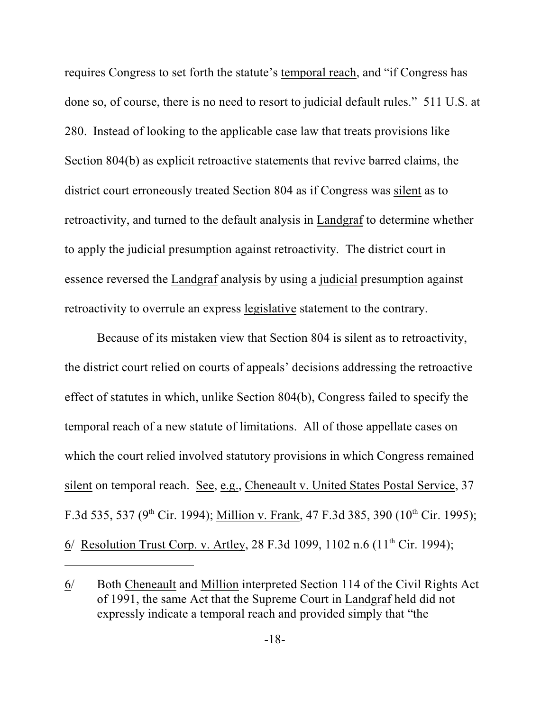requires Congress to set forth the statute's temporal reach, and "if Congress has done so, of course, there is no need to resort to judicial default rules." 511 U.S. at 280. Instead of looking to the applicable case law that treats provisions like Section 804(b) as explicit retroactive statements that revive barred claims, the district court erroneously treated Section 804 as if Congress was silent as to retroactivity, and turned to the default analysis in Landgraf to determine whether to apply the judicial presumption against retroactivity. The district court in essence reversed the Landgraf analysis by using a judicial presumption against retroactivity to overrule an express legislative statement to the contrary.

Because of its mistaken view that Section 804 is silent as to retroactivity, the district court relied on courts of appeals' decisions addressing the retroactive effect of statutes in which, unlike Section 804(b), Congress failed to specify the temporal reach of a new statute of limitations. All of those appellate cases on which the court relied involved statutory provisions in which Congress remained silent on temporal reach. See, e.g., Cheneault v. United States Postal Service, 37 F.3d 535, 537 (9<sup>th</sup> Cir. 1994); Million v. Frank, 47 F.3d 385, 390 (10<sup>th</sup> Cir. 1995); 6/ Resolution Trust Corp. v. Artley, 28 F.3d 1099, 1102 n.6  $(11<sup>th</sup> Cir. 1994)$ ;

<sup>6/</sup> Both Cheneault and Million interpreted Section 114 of the Civil Rights Act of 1991, the same Act that the Supreme Court in Landgraf held did not expressly indicate a temporal reach and provided simply that "the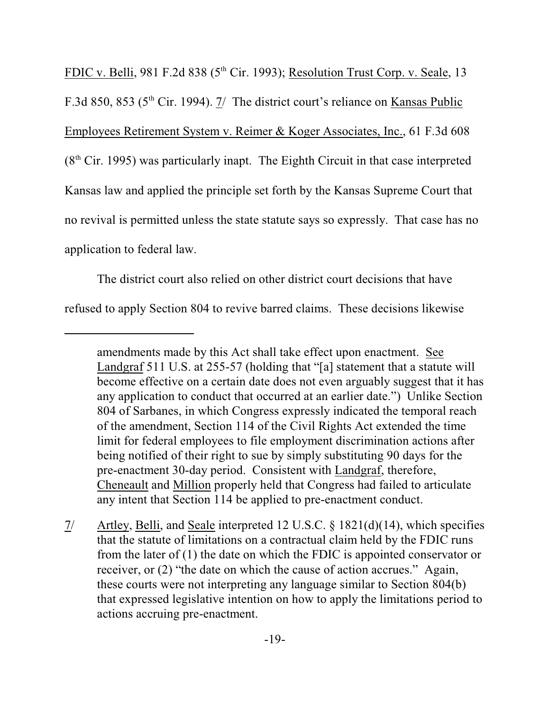FDIC v. Belli, 981 F.2d 838 ( $5<sup>th</sup>$  Cir. 1993); Resolution Trust Corp. v. Seale, 13 F.3d 850, 853 ( $5<sup>th</sup>$  Cir. 1994). 7/ The district court's reliance on Kansas Public Employees Retirement System v. Reimer & Koger Associates, Inc., 61 F.3d 608  $(8<sup>th</sup> Cir. 1995)$  was particularly inapt. The Eighth Circuit in that case interpreted Kansas law and applied the principle set forth by the Kansas Supreme Court that no revival is permitted unless the state statute says so expressly. That case has no application to federal law.

The district court also relied on other district court decisions that have refused to apply Section 804 to revive barred claims. These decisions likewise

amendments made by this Act shall take effect upon enactment. See Landgraf 511 U.S. at 255-57 (holding that "[a] statement that a statute will become effective on a certain date does not even arguably suggest that it has any application to conduct that occurred at an earlier date.") Unlike Section 804 of Sarbanes, in which Congress expressly indicated the temporal reach of the amendment, Section 114 of the Civil Rights Act extended the time limit for federal employees to file employment discrimination actions after being notified of their right to sue by simply substituting 90 days for the pre-enactment 30-day period. Consistent with Landgraf, therefore, Cheneault and Million properly held that Congress had failed to articulate any intent that Section 114 be applied to pre-enactment conduct.

<sup>7/</sup> Artley, Belli, and Seale interpreted 12 U.S.C. § 1821(d)(14), which specifies that the statute of limitations on a contractual claim held by the FDIC runs from the later of (1) the date on which the FDIC is appointed conservator or receiver, or (2) "the date on which the cause of action accrues." Again, these courts were not interpreting any language similar to Section 804(b) that expressed legislative intention on how to apply the limitations period to actions accruing pre-enactment.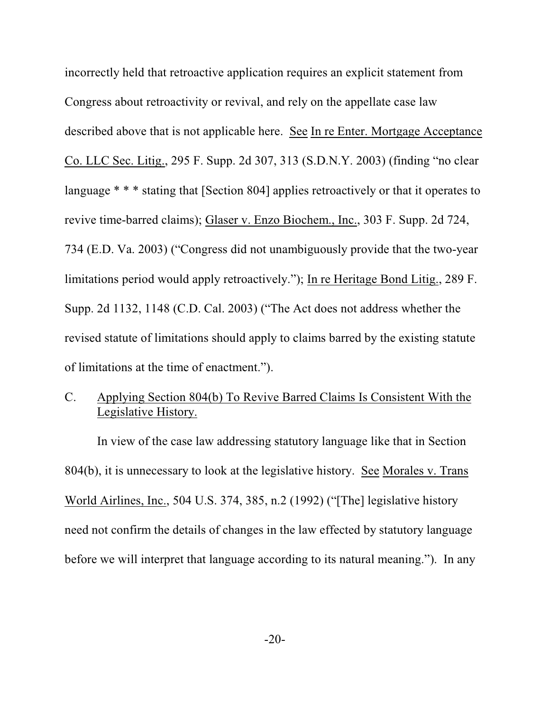incorrectly held that retroactive application requires an explicit statement from Congress about retroactivity or revival, and rely on the appellate case law described above that is not applicable here. See In re Enter. Mortgage Acceptance Co. LLC Sec. Litig., 295 F. Supp. 2d 307, 313 (S.D.N.Y. 2003) (finding "no clear language \* \* \* stating that [Section 804] applies retroactively or that it operates to revive time-barred claims); Glaser v. Enzo Biochem., Inc., 303 F. Supp. 2d 724, 734 (E.D. Va. 2003) ("Congress did not unambiguously provide that the two-year limitations period would apply retroactively."); In re Heritage Bond Litig., 289 F. Supp. 2d 1132, 1148 (C.D. Cal. 2003) ("The Act does not address whether the revised statute of limitations should apply to claims barred by the existing statute of limitations at the time of enactment.").

## C. Applying Section 804(b) To Revive Barred Claims Is Consistent With the Legislative History.

In view of the case law addressing statutory language like that in Section 804(b), it is unnecessary to look at the legislative history. See Morales v. Trans World Airlines, Inc., 504 U.S. 374, 385, n.2 (1992) ("[The] legislative history need not confirm the details of changes in the law effected by statutory language before we will interpret that language according to its natural meaning."). In any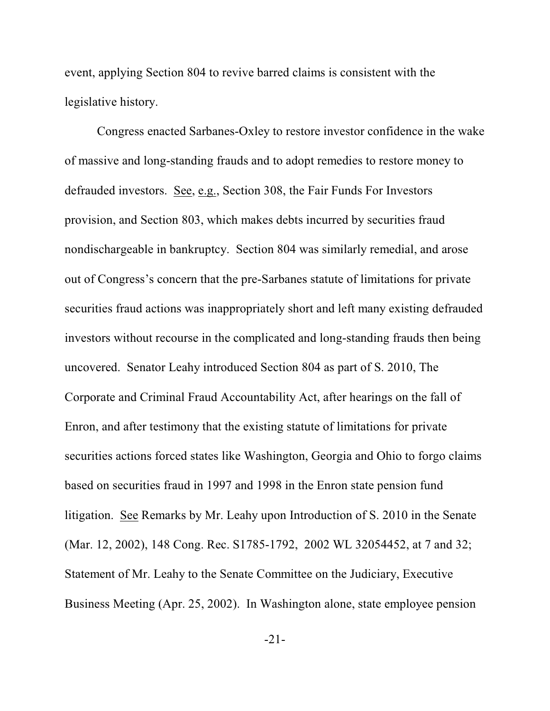event, applying Section 804 to revive barred claims is consistent with the legislative history.

Congress enacted Sarbanes-Oxley to restore investor confidence in the wake of massive and long-standing frauds and to adopt remedies to restore money to defrauded investors. See, e.g., Section 308, the Fair Funds For Investors provision, and Section 803, which makes debts incurred by securities fraud nondischargeable in bankruptcy. Section 804 was similarly remedial, and arose out of Congress's concern that the pre-Sarbanes statute of limitations for private securities fraud actions was inappropriately short and left many existing defrauded investors without recourse in the complicated and long-standing frauds then being uncovered. Senator Leahy introduced Section 804 as part of S. 2010, The Corporate and Criminal Fraud Accountability Act, after hearings on the fall of Enron, and after testimony that the existing statute of limitations for private securities actions forced states like Washington, Georgia and Ohio to forgo claims based on securities fraud in 1997 and 1998 in the Enron state pension fund litigation. See Remarks by Mr. Leahy upon Introduction of S. 2010 in the Senate (Mar. 12, 2002), 148 Cong. Rec. S1785-1792, 2002 WL 32054452, at 7 and 32; Statement of Mr. Leahy to the Senate Committee on the Judiciary, Executive Business Meeting (Apr. 25, 2002). In Washington alone, state employee pension

-21-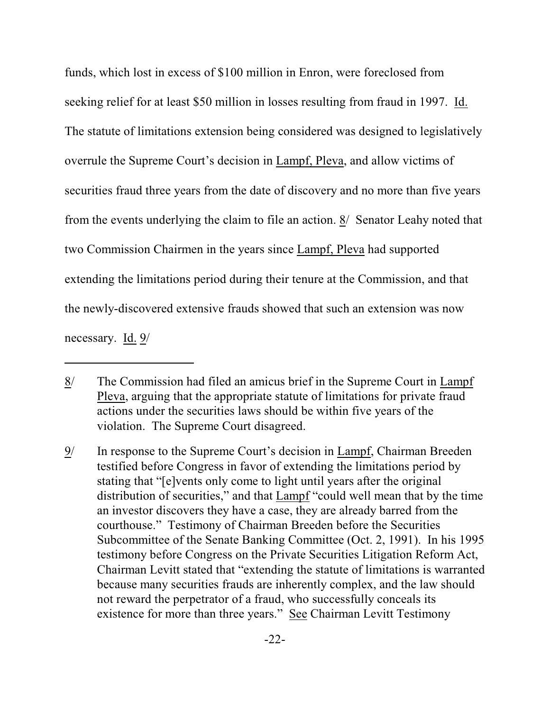funds, which lost in excess of \$100 million in Enron, were foreclosed from seeking relief for at least \$50 million in losses resulting from fraud in 1997. Id. The statute of limitations extension being considered was designed to legislatively overrule the Supreme Court's decision in Lampf, Pleva, and allow victims of securities fraud three years from the date of discovery and no more than five years from the events underlying the claim to file an action. 8/ Senator Leahy noted that two Commission Chairmen in the years since Lampf, Pleva had supported extending the limitations period during their tenure at the Commission, and that the newly-discovered extensive frauds showed that such an extension was now necessary. Id. 9/

<sup>8/</sup> The Commission had filed an amicus brief in the Supreme Court in Lampf Pleva, arguing that the appropriate statute of limitations for private fraud actions under the securities laws should be within five years of the violation. The Supreme Court disagreed.

<sup>9/</sup> In response to the Supreme Court's decision in Lampf, Chairman Breeden testified before Congress in favor of extending the limitations period by stating that "[e]vents only come to light until years after the original distribution of securities," and that Lampf "could well mean that by the time an investor discovers they have a case, they are already barred from the courthouse." Testimony of Chairman Breeden before the Securities Subcommittee of the Senate Banking Committee (Oct. 2, 1991). In his 1995 testimony before Congress on the Private Securities Litigation Reform Act, Chairman Levitt stated that "extending the statute of limitations is warranted because many securities frauds are inherently complex, and the law should not reward the perpetrator of a fraud, who successfully conceals its existence for more than three years." See Chairman Levitt Testimony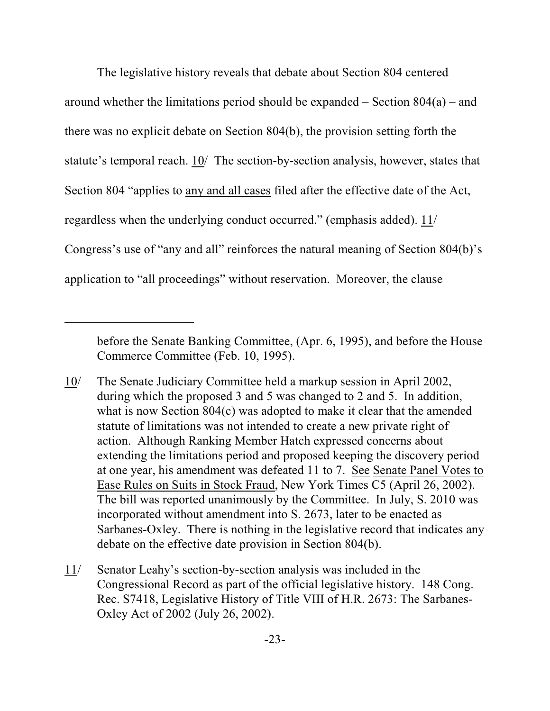The legislative history reveals that debate about Section 804 centered around whether the limitations period should be expanded  $-$  Section 804(a)  $-$  and there was no explicit debate on Section 804(b), the provision setting forth the statute's temporal reach. 10/ The section-by-section analysis, however, states that Section 804 "applies to any and all cases filed after the effective date of the Act, regardless when the underlying conduct occurred." (emphasis added). 11/ Congress's use of "any and all" reinforces the natural meaning of Section 804(b)'s application to "all proceedings" without reservation. Moreover, the clause

before the Senate Banking Committee, (Apr. 6, 1995), and before the House Commerce Committee (Feb. 10, 1995).

<sup>10/</sup> The Senate Judiciary Committee held a markup session in April 2002, during which the proposed 3 and 5 was changed to 2 and 5. In addition, what is now Section 804(c) was adopted to make it clear that the amended statute of limitations was not intended to create a new private right of action. Although Ranking Member Hatch expressed concerns about extending the limitations period and proposed keeping the discovery period at one year, his amendment was defeated 11 to 7. See Senate Panel Votes to Ease Rules on Suits in Stock Fraud, New York Times C5 (April 26, 2002). The bill was reported unanimously by the Committee. In July, S. 2010 was incorporated without amendment into S. 2673, later to be enacted as Sarbanes-Oxley. There is nothing in the legislative record that indicates any debate on the effective date provision in Section 804(b).

<sup>11/</sup> Senator Leahy's section-by-section analysis was included in the Congressional Record as part of the official legislative history. 148 Cong. Rec. S7418, Legislative History of Title VIII of H.R. 2673: The Sarbanes-Oxley Act of 2002 (July 26, 2002).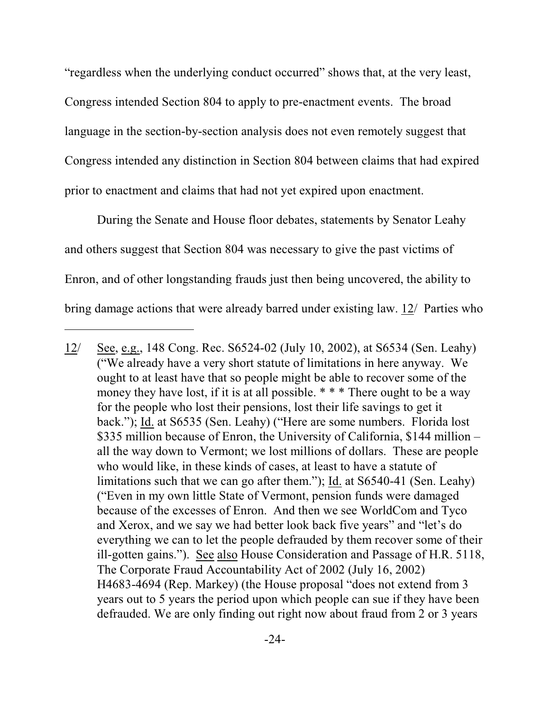"regardless when the underlying conduct occurred" shows that, at the very least, Congress intended Section 804 to apply to pre-enactment events. The broad language in the section-by-section analysis does not even remotely suggest that Congress intended any distinction in Section 804 between claims that had expired prior to enactment and claims that had not yet expired upon enactment.

During the Senate and House floor debates, statements by Senator Leahy and others suggest that Section 804 was necessary to give the past victims of Enron, and of other longstanding frauds just then being uncovered, the ability to bring damage actions that were already barred under existing law. 12/ Parties who

<sup>12/</sup> See, e.g., 148 Cong. Rec. S6524-02 (July 10, 2002), at S6534 (Sen. Leahy) ("We already have a very short statute of limitations in here anyway. We ought to at least have that so people might be able to recover some of the money they have lost, if it is at all possible. \* \* \* There ought to be a way for the people who lost their pensions, lost their life savings to get it back."); Id. at S6535 (Sen. Leahy) ("Here are some numbers. Florida lost \$335 million because of Enron, the University of California, \$144 million – all the way down to Vermont; we lost millions of dollars. These are people who would like, in these kinds of cases, at least to have a statute of limitations such that we can go after them."); Id. at S6540-41 (Sen. Leahy) ("Even in my own little State of Vermont, pension funds were damaged because of the excesses of Enron. And then we see WorldCom and Tyco and Xerox, and we say we had better look back five years" and "let's do everything we can to let the people defrauded by them recover some of their ill-gotten gains."). See also House Consideration and Passage of H.R. 5118, The Corporate Fraud Accountability Act of 2002 (July 16, 2002) H4683-4694 (Rep. Markey) (the House proposal "does not extend from 3 years out to 5 years the period upon which people can sue if they have been defrauded. We are only finding out right now about fraud from 2 or 3 years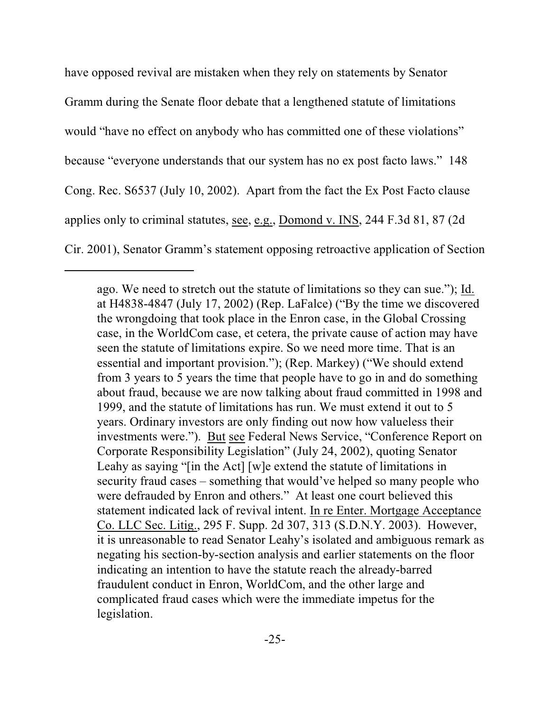have opposed revival are mistaken when they rely on statements by Senator Gramm during the Senate floor debate that a lengthened statute of limitations would "have no effect on anybody who has committed one of these violations" because "everyone understands that our system has no ex post facto laws." 148 Cong. Rec. S6537 (July 10, 2002). Apart from the fact the Ex Post Facto clause applies only to criminal statutes, see, e.g., Domond v. INS, 244 F.3d 81, 87 (2d Cir. 2001), Senator Gramm's statement opposing retroactive application of Section

ago. We need to stretch out the statute of limitations so they can sue."); Id. at H4838-4847 (July 17, 2002) (Rep. LaFalce) ("By the time we discovered the wrongdoing that took place in the Enron case, in the Global Crossing case, in the WorldCom case, et cetera, the private cause of action may have seen the statute of limitations expire. So we need more time. That is an essential and important provision."); (Rep. Markey) ("We should extend from 3 years to 5 years the time that people have to go in and do something about fraud, because we are now talking about fraud committed in 1998 and 1999, and the statute of limitations has run. We must extend it out to 5 years. Ordinary investors are only finding out now how valueless their investments were."). But see Federal News Service, "Conference Report on Corporate Responsibility Legislation" (July 24, 2002), quoting Senator Leahy as saying "[in the Act] [w]e extend the statute of limitations in security fraud cases – something that would've helped so many people who were defrauded by Enron and others." At least one court believed this statement indicated lack of revival intent. In re Enter. Mortgage Acceptance Co. LLC Sec. Litig., 295 F. Supp. 2d 307, 313 (S.D.N.Y. 2003). However, it is unreasonable to read Senator Leahy's isolated and ambiguous remark as negating his section-by-section analysis and earlier statements on the floor indicating an intention to have the statute reach the already-barred fraudulent conduct in Enron, WorldCom, and the other large and complicated fraud cases which were the immediate impetus for the legislation.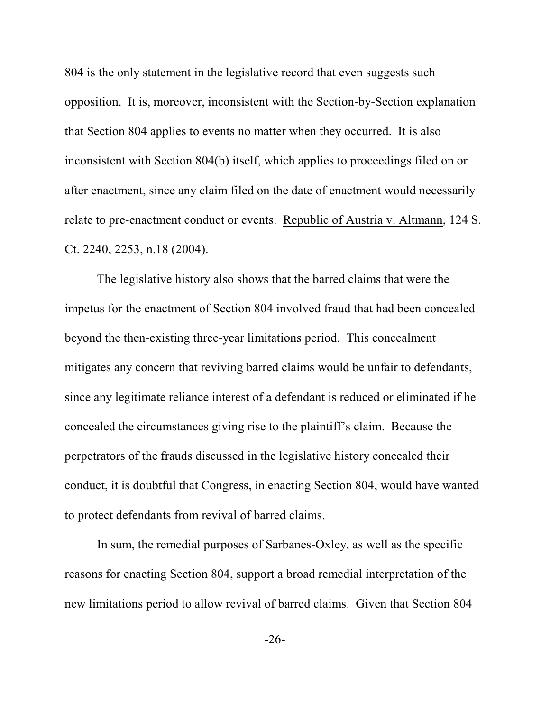804 is the only statement in the legislative record that even suggests such opposition. It is, moreover, inconsistent with the Section-by-Section explanation that Section 804 applies to events no matter when they occurred. It is also inconsistent with Section 804(b) itself, which applies to proceedings filed on or after enactment, since any claim filed on the date of enactment would necessarily relate to pre-enactment conduct or events. Republic of Austria v. Altmann, 124 S. Ct. 2240, 2253, n.18 (2004).

The legislative history also shows that the barred claims that were the impetus for the enactment of Section 804 involved fraud that had been concealed beyond the then-existing three-year limitations period. This concealment mitigates any concern that reviving barred claims would be unfair to defendants, since any legitimate reliance interest of a defendant is reduced or eliminated if he concealed the circumstances giving rise to the plaintiff's claim. Because the perpetrators of the frauds discussed in the legislative history concealed their conduct, it is doubtful that Congress, in enacting Section 804, would have wanted to protect defendants from revival of barred claims.

In sum, the remedial purposes of Sarbanes-Oxley, as well as the specific reasons for enacting Section 804, support a broad remedial interpretation of the new limitations period to allow revival of barred claims. Given that Section 804

-26-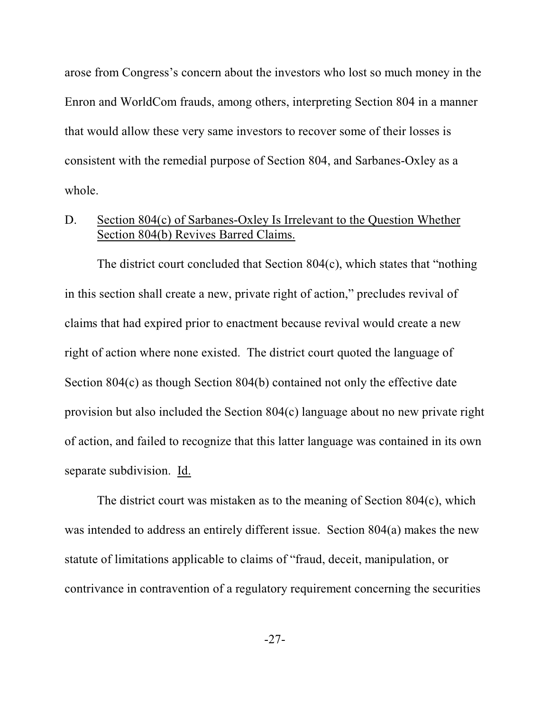arose from Congress's concern about the investors who lost so much money in the Enron and WorldCom frauds, among others, interpreting Section 804 in a manner that would allow these very same investors to recover some of their losses is consistent with the remedial purpose of Section 804, and Sarbanes-Oxley as a whole.

## D. Section 804(c) of Sarbanes-Oxley Is Irrelevant to the Question Whether Section 804(b) Revives Barred Claims.

The district court concluded that Section 804(c), which states that "nothing in this section shall create a new, private right of action," precludes revival of claims that had expired prior to enactment because revival would create a new right of action where none existed. The district court quoted the language of Section 804(c) as though Section 804(b) contained not only the effective date provision but also included the Section 804(c) language about no new private right of action, and failed to recognize that this latter language was contained in its own separate subdivision. Id.

The district court was mistaken as to the meaning of Section 804(c), which was intended to address an entirely different issue. Section 804(a) makes the new statute of limitations applicable to claims of "fraud, deceit, manipulation, or contrivance in contravention of a regulatory requirement concerning the securities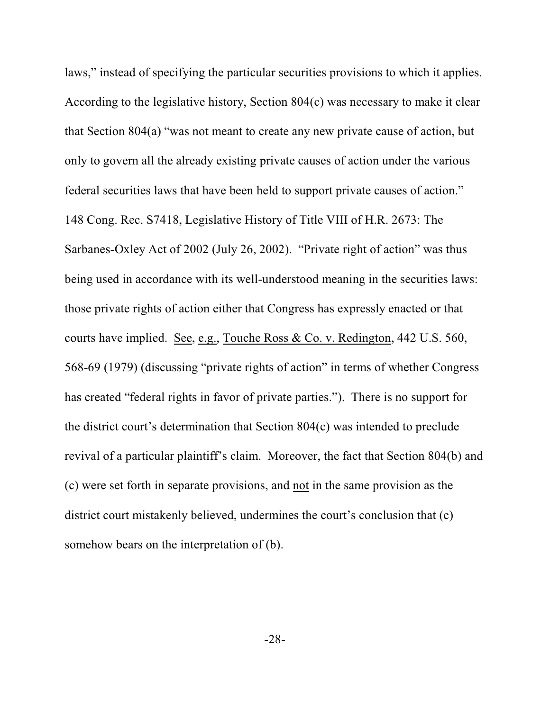laws," instead of specifying the particular securities provisions to which it applies. According to the legislative history, Section 804(c) was necessary to make it clear that Section 804(a) "was not meant to create any new private cause of action, but only to govern all the already existing private causes of action under the various federal securities laws that have been held to support private causes of action." 148 Cong. Rec. S7418, Legislative History of Title VIII of H.R. 2673: The Sarbanes-Oxley Act of 2002 (July 26, 2002). "Private right of action" was thus being used in accordance with its well-understood meaning in the securities laws: those private rights of action either that Congress has expressly enacted or that courts have implied. See, e.g., Touche Ross & Co. v. Redington, 442 U.S. 560, 568-69 (1979) (discussing "private rights of action" in terms of whether Congress has created "federal rights in favor of private parties."). There is no support for the district court's determination that Section 804(c) was intended to preclude revival of a particular plaintiff's claim. Moreover, the fact that Section 804(b) and (c) were set forth in separate provisions, and not in the same provision as the district court mistakenly believed, undermines the court's conclusion that (c) somehow bears on the interpretation of (b).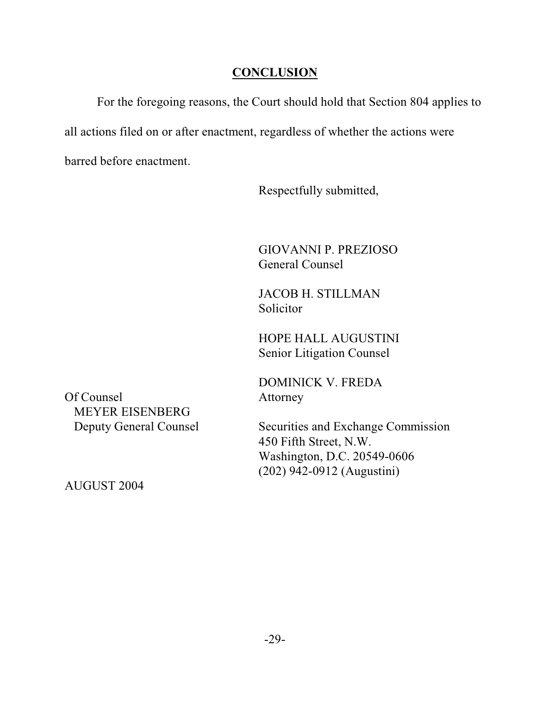## **CONCLUSION**

For the foregoing reasons, the Court should hold that Section 804 applies to all actions filed on or after enactment, regardless of whether the actions were barred before enactment.

Respectfully submitted,

GIOVANNI P. PREZIOSO General Counsel

JACOB H. STILLMAN **Solicitor** 

HOPE HALL AUGUSTINI Senior Litigation Counsel

DOMINICK V. FREDA

Of Counsel **Attorney** MEYER EISENBERG

Deputy General Counsel Securities and Exchange Commission 450 Fifth Street, N.W. Washington, D.C. 20549-0606 (202) 942-0912 (Augustini)

AUGUST 2004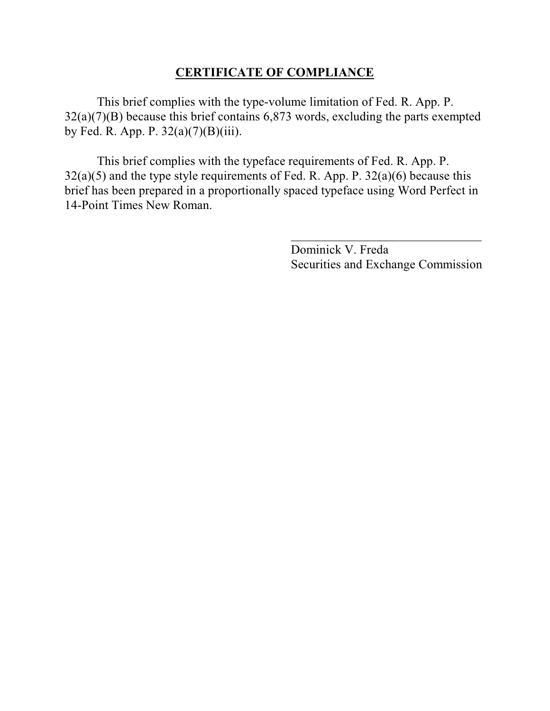## **CERTIFICATE OF COMPLIANCE**

This brief complies with the type-volume limitation of Fed. R. App. P. 32(a)(7)(B) because this brief contains 6,873 words, excluding the parts exempted by Fed. R. App. P.  $32(a)(7)(B)(iii)$ .

This brief complies with the typeface requirements of Fed. R. App. P.  $32(a)(5)$  and the type style requirements of Fed. R. App. P.  $32(a)(6)$  because this brief has been prepared in a proportionally spaced typeface using Word Perfect in 14-Point Times New Roman.

> Dominick V. Freda Securities and Exchange Commission

 $\overline{\phantom{a}}$  , where  $\overline{\phantom{a}}$  , where  $\overline{\phantom{a}}$  , where  $\overline{\phantom{a}}$  , where  $\overline{\phantom{a}}$